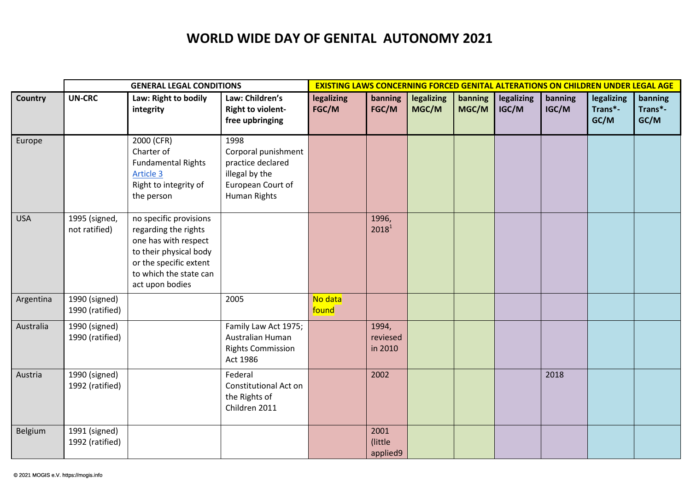## **WORLD WIDE DAY OF GENITAL AUTONOMY 2021**

|            | <b>GENERAL LEGAL CONDITIONS</b>  |                                                                                                                                                                         |                                                                                                         | <b>EXISTING LAWS CONCERNING FORCED GENITAL ALTERATIONS ON CHILDREN UNDER LEGAL AGE</b> |                              |                     |                  |                     |                  |                               |                            |
|------------|----------------------------------|-------------------------------------------------------------------------------------------------------------------------------------------------------------------------|---------------------------------------------------------------------------------------------------------|----------------------------------------------------------------------------------------|------------------------------|---------------------|------------------|---------------------|------------------|-------------------------------|----------------------------|
| Country    | <b>UN-CRC</b>                    | Law: Right to bodily<br>integrity                                                                                                                                       | Law: Children's<br><b>Right to violent-</b><br>free upbringing                                          | legalizing<br>FGC/M                                                                    | banning<br>FGC/M             | legalizing<br>MGC/M | banning<br>MGC/M | legalizing<br>IGC/M | banning<br>IGC/M | legalizing<br>Trans*-<br>GC/M | banning<br>Trans*-<br>GC/M |
| Europe     |                                  | 2000 (CFR)<br>Charter of<br><b>Fundamental Rights</b><br>Article 3<br>Right to integrity of<br>the person                                                               | 1998<br>Corporal punishment<br>practice declared<br>illegal by the<br>European Court of<br>Human Rights |                                                                                        |                              |                     |                  |                     |                  |                               |                            |
| <b>USA</b> | 1995 (signed,<br>not ratified)   | no specific provisions<br>regarding the rights<br>one has with respect<br>to their physical body<br>or the specific extent<br>to which the state can<br>act upon bodies |                                                                                                         |                                                                                        | 1996,<br>2018 <sup>1</sup>   |                     |                  |                     |                  |                               |                            |
| Argentina  | 1990 (signed)<br>1990 (ratified) |                                                                                                                                                                         | 2005                                                                                                    | No data<br>found                                                                       |                              |                     |                  |                     |                  |                               |                            |
| Australia  | 1990 (signed)<br>1990 (ratified) |                                                                                                                                                                         | Family Law Act 1975;<br>Australian Human<br><b>Rights Commission</b><br>Act 1986                        |                                                                                        | 1994,<br>reviesed<br>in 2010 |                     |                  |                     |                  |                               |                            |
| Austria    | 1990 (signed)<br>1992 (ratified) |                                                                                                                                                                         | Federal<br>Constitutional Act on<br>the Rights of<br>Children 2011                                      |                                                                                        | 2002                         |                     |                  |                     | 2018             |                               |                            |
| Belgium    | 1991 (signed)<br>1992 (ratified) |                                                                                                                                                                         |                                                                                                         |                                                                                        | 2001<br>(little)<br>applied9 |                     |                  |                     |                  |                               |                            |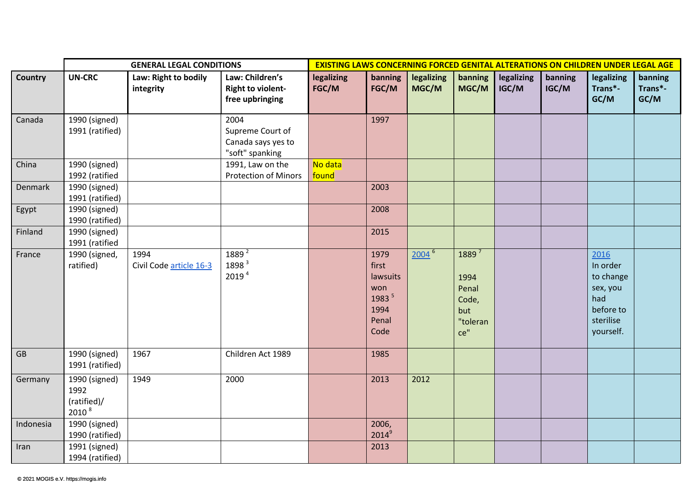|           | <b>GENERAL LEGAL CONDITIONS</b>                           |                                   |                                                                   | <b>EXISTING LAWS CONCERNING FORCED GENITAL ALTERATIONS ON CHILDREN UNDER LEGAL AGE</b> |                                                                     |                     |                                                                       |                     |                  |                                                                                         |                            |
|-----------|-----------------------------------------------------------|-----------------------------------|-------------------------------------------------------------------|----------------------------------------------------------------------------------------|---------------------------------------------------------------------|---------------------|-----------------------------------------------------------------------|---------------------|------------------|-----------------------------------------------------------------------------------------|----------------------------|
| Country   | <b>UN-CRC</b>                                             | Law: Right to bodily<br>integrity | Law: Children's<br><b>Right to violent-</b><br>free upbringing    | legalizing<br>FGC/M                                                                    | banning<br>FGC/M                                                    | legalizing<br>MGC/M | banning<br>MGC/M                                                      | legalizing<br>IGC/M | banning<br>IGC/M | legalizing<br>Trans*-<br>GC/M                                                           | banning<br>Trans*-<br>GC/M |
| Canada    | 1990 (signed)<br>1991 (ratified)                          |                                   | 2004<br>Supreme Court of<br>Canada says yes to<br>"soft" spanking |                                                                                        | 1997                                                                |                     |                                                                       |                     |                  |                                                                                         |                            |
| China     | 1990 (signed)<br>1992 (ratified                           |                                   | 1991, Law on the<br><b>Protection of Minors</b>                   | No data<br>found                                                                       |                                                                     |                     |                                                                       |                     |                  |                                                                                         |                            |
| Denmark   | 1990 (signed)<br>1991 (ratified)                          |                                   |                                                                   |                                                                                        | 2003                                                                |                     |                                                                       |                     |                  |                                                                                         |                            |
| Egypt     | 1990 (signed)<br>1990 (ratified)                          |                                   |                                                                   |                                                                                        | 2008                                                                |                     |                                                                       |                     |                  |                                                                                         |                            |
| Finland   | 1990 (signed)<br>1991 (ratified                           |                                   |                                                                   |                                                                                        | 2015                                                                |                     |                                                                       |                     |                  |                                                                                         |                            |
| France    | 1990 (signed,<br>ratified)                                | 1994<br>Civil Code article 16-3   | 1889 <sup>2</sup><br>1898 3<br>2019 <sup>4</sup>                  |                                                                                        | 1979<br>first<br>lawsuits<br>won<br>1983 5<br>1994<br>Penal<br>Code | 2004 <sup>6</sup>   | 1889 <sup>7</sup><br>1994<br>Penal<br>Code,<br>but<br>"toleran<br>ce" |                     |                  | 2016<br>In order<br>to change<br>sex, you<br>had<br>before to<br>sterilise<br>yourself. |                            |
| GB        | 1990 (signed)<br>1991 (ratified)                          | 1967                              | Children Act 1989                                                 |                                                                                        | 1985                                                                |                     |                                                                       |                     |                  |                                                                                         |                            |
| Germany   | 1990 (signed)<br>1992<br>(ratified)/<br>2010 <sup>8</sup> | 1949                              | 2000                                                              |                                                                                        | 2013                                                                | 2012                |                                                                       |                     |                  |                                                                                         |                            |
| Indonesia | 1990 (signed)<br>1990 (ratified)                          |                                   |                                                                   |                                                                                        | 2006,<br>$2014^9$                                                   |                     |                                                                       |                     |                  |                                                                                         |                            |
| Iran      | 1991 (signed)<br>1994 (ratified)                          |                                   |                                                                   |                                                                                        | 2013                                                                |                     |                                                                       |                     |                  |                                                                                         |                            |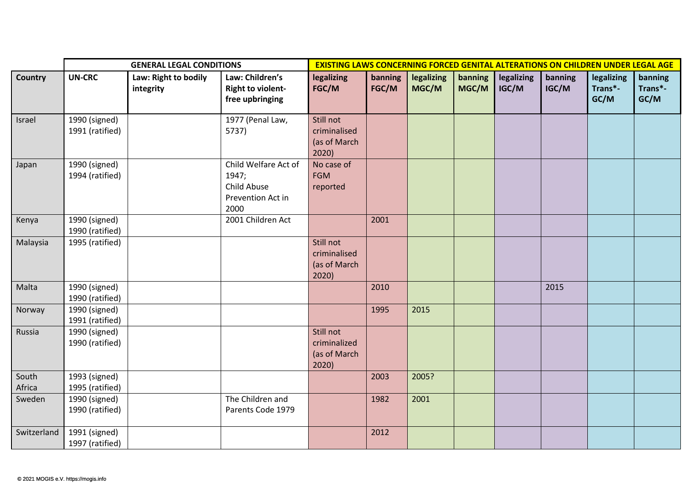|                 | <b>GENERAL LEGAL CONDITIONS</b>  |                                   |                                                                           | <b>EXISTING LAWS CONCERNING FORCED GENITAL ALTERATIONS ON CHILDREN UNDER LEGAL AGE</b> |                  |                     |                  |                     |                  |                               |                            |  |
|-----------------|----------------------------------|-----------------------------------|---------------------------------------------------------------------------|----------------------------------------------------------------------------------------|------------------|---------------------|------------------|---------------------|------------------|-------------------------------|----------------------------|--|
| <b>Country</b>  | <b>UN-CRC</b>                    | Law: Right to bodily<br>integrity | Law: Children's<br><b>Right to violent-</b><br>free upbringing            | legalizing<br>FGC/M                                                                    | banning<br>FGC/M | legalizing<br>MGC/M | banning<br>MGC/M | legalizing<br>IGC/M | banning<br>IGC/M | legalizing<br>Trans*-<br>GC/M | banning<br>Trans*-<br>GC/M |  |
| Israel          | 1990 (signed)<br>1991 (ratified) |                                   | 1977 (Penal Law,<br>5737)                                                 | Still not<br>criminalised<br>(as of March<br>2020)                                     |                  |                     |                  |                     |                  |                               |                            |  |
| Japan           | 1990 (signed)<br>1994 (ratified) |                                   | Child Welfare Act of<br>1947;<br>Child Abuse<br>Prevention Act in<br>2000 | No case of<br><b>FGM</b><br>reported                                                   |                  |                     |                  |                     |                  |                               |                            |  |
| Kenya           | 1990 (signed)<br>1990 (ratified) |                                   | 2001 Children Act                                                         |                                                                                        | 2001             |                     |                  |                     |                  |                               |                            |  |
| Malaysia        | 1995 (ratified)                  |                                   |                                                                           | Still not<br>criminalised<br>(as of March<br>2020)                                     |                  |                     |                  |                     |                  |                               |                            |  |
| Malta           | 1990 (signed)<br>1990 (ratified) |                                   |                                                                           |                                                                                        | 2010             |                     |                  |                     | 2015             |                               |                            |  |
| Norway          | 1990 (signed)<br>1991 (ratified) |                                   |                                                                           |                                                                                        | 1995             | 2015                |                  |                     |                  |                               |                            |  |
| Russia          | 1990 (signed)<br>1990 (ratified) |                                   |                                                                           | Still not<br>criminalized<br>(as of March<br>2020)                                     |                  |                     |                  |                     |                  |                               |                            |  |
| South<br>Africa | 1993 (signed)<br>1995 (ratified) |                                   |                                                                           |                                                                                        | 2003             | 2005?               |                  |                     |                  |                               |                            |  |
| Sweden          | 1990 (signed)<br>1990 (ratified) |                                   | The Children and<br>Parents Code 1979                                     |                                                                                        | 1982             | 2001                |                  |                     |                  |                               |                            |  |
| Switzerland     | 1991 (signed)<br>1997 (ratified) |                                   |                                                                           |                                                                                        | 2012             |                     |                  |                     |                  |                               |                            |  |